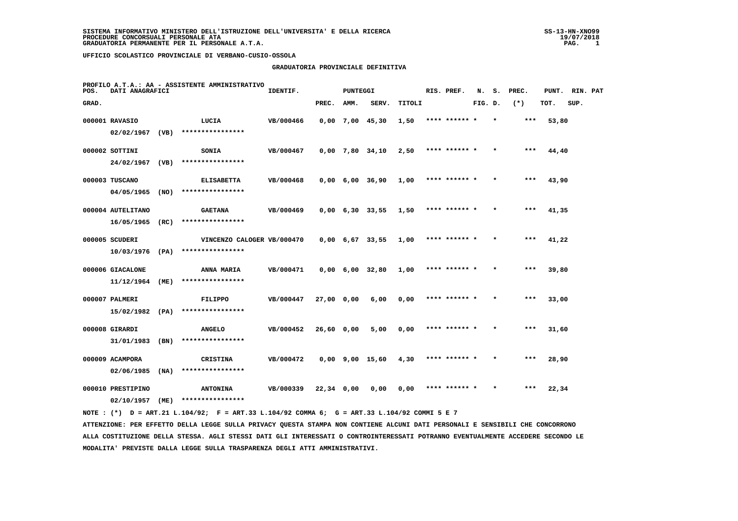#### **GRADUATORIA PROVINCIALE DEFINITIVA**

| POS.  | DATI ANAGRAFICI   |      | PROFILO A.T.A.: AA - ASSISTENTE AMMINISTRATIVO                                                                                | IDENTIF.  |            | <b>PUNTEGGI</b> |                               |        | RIS. PREF.    | N.      | s. | PREC. | PUNT. | RIN. PAT |  |
|-------|-------------------|------|-------------------------------------------------------------------------------------------------------------------------------|-----------|------------|-----------------|-------------------------------|--------|---------------|---------|----|-------|-------|----------|--|
| GRAD. |                   |      |                                                                                                                               |           | PREC.      | AMM.            | SERV.                         | TITOLI |               | FIG. D. |    | $(*)$ | TOT.  | SUP.     |  |
|       | 000001 RAVASIO    |      | LUCIA                                                                                                                         | VB/000466 |            |                 | $0,00$ 7,00 45,30             | 1,50   | **** ******   |         |    |       | 53,80 |          |  |
|       |                   |      | $02/02/1967$ (VB) ****************                                                                                            |           |            |                 |                               |        |               |         |    |       |       |          |  |
|       | 000002 SOTTINI    |      | <b>SONIA</b>                                                                                                                  | VB/000467 |            |                 | $0,00$ 7,80 34,10             | 2,50   | **** ******   |         |    | $***$ | 44,40 |          |  |
|       | 24/02/1967 (VB)   |      | ****************                                                                                                              |           |            |                 |                               |        |               |         |    |       |       |          |  |
|       | 000003 TUSCANO    |      | <b>ELISABETTA</b>                                                                                                             | VB/000468 |            |                 | $0,00$ 6,00 36,90             | 1,00   | **** ****** * |         |    | $***$ | 43,90 |          |  |
|       | 04/05/1965        | (NO) | ****************                                                                                                              |           |            |                 |                               |        |               |         |    |       |       |          |  |
|       | 000004 AUTELITANO |      | <b>GAETANA</b>                                                                                                                | VB/000469 |            |                 | $0,00 \quad 6,30 \quad 33,55$ | 1,50   | **** ****** * |         |    | $***$ | 41,35 |          |  |
|       | $16/05/1965$ (RC) |      | ****************                                                                                                              |           |            |                 |                               |        |               |         |    |       |       |          |  |
|       | 000005 SCUDERI    |      | VINCENZO CALOGER VB/000470                                                                                                    |           |            |                 | $0,00$ 6,67 33,55             | 1,00   | **** ****** * |         |    | ***   | 41,22 |          |  |
|       | $10/03/1976$ (PA) |      | ****************                                                                                                              |           |            |                 |                               |        |               |         |    |       |       |          |  |
|       | 000006 GIACALONE  |      | ANNA MARIA                                                                                                                    | VB/000471 |            |                 | $0,00 \quad 6,00 \quad 32,80$ | 1,00   | **** ****** * |         |    | $***$ | 39,80 |          |  |
|       | 11/12/1964        | (ME) | ****************                                                                                                              |           |            |                 |                               |        |               |         |    |       |       |          |  |
|       | 000007 PALMERI    |      | FILIPPO                                                                                                                       | VB/000447 | 27,00 0,00 |                 | 6,00                          | 0,00   | **** ****** * |         |    | $***$ | 33,00 |          |  |
|       | 15/02/1982 (PA)   |      | ****************                                                                                                              |           |            |                 |                               |        |               |         |    |       |       |          |  |
|       | 000008 GIRARDI    |      | <b>ANGELO</b>                                                                                                                 | VB/000452 | 26,60 0,00 |                 | 5,00                          | 0,00   | **** ****** * |         |    | $***$ | 31,60 |          |  |
|       | 31/01/1983        | (BN) | ****************                                                                                                              |           |            |                 |                               |        |               |         |    |       |       |          |  |
|       | 000009 ACAMPORA   |      | <b>CRISTINA</b>                                                                                                               | VB/000472 |            |                 | 0,00 9,00 15,60               | 4,30   | **** ****** * |         |    | $***$ | 28,90 |          |  |
|       | $02/06/1985$ (NA) |      | ****************                                                                                                              |           |            |                 |                               |        |               |         |    |       |       |          |  |
|       | 000010 PRESTIPINO |      | <b>ANTONINA</b>                                                                                                               | VB/000339 | 22,34 0,00 |                 | 0,00                          | 0,00   | **** ****** * |         |    | ***   | 22,34 |          |  |
|       |                   |      | 02/10/1957 (ME) ****************                                                                                              |           |            |                 |                               |        |               |         |    |       |       |          |  |
|       |                   |      | NOTE : $(*)$ D = ART.21 L.104/92; F = ART.33 L.104/92 COMMA 6; G = ART.33 L.104/92 COMMI 5 E 7                                |           |            |                 |                               |        |               |         |    |       |       |          |  |
|       |                   |      | ATTENZIONE: PER EFFETTO DELLA LEGGE SULLA PRIVACY OUESTA STAMPA NON CONTIENE ALCUNI DATI PERSONALI E SENSIBILI CHE CONCORRONO |           |            |                 |                               |        |               |         |    |       |       |          |  |

 **ALLA COSTITUZIONE DELLA STESSA. AGLI STESSI DATI GLI INTERESSATI O CONTROINTERESSATI POTRANNO EVENTUALMENTE ACCEDERE SECONDO LE MODALITA' PREVISTE DALLA LEGGE SULLA TRASPARENZA DEGLI ATTI AMMINISTRATIVI.**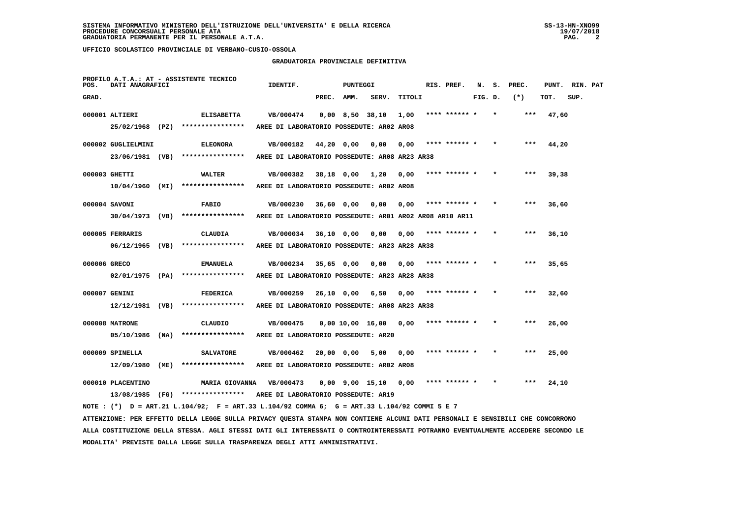## **GRADUATORIA PROVINCIALE DEFINITIVA**

| POS.         | DATI ANAGRAFICI    | PROFILO A.T.A.: AT - ASSISTENTE TECNICO                                                                                         | IDENTIF.                                                |            | PUNTEGGI |                               |        | RIS. PREF.    |         | N. S. PREC. | PUNT. RIN. PAT |      |  |
|--------------|--------------------|---------------------------------------------------------------------------------------------------------------------------------|---------------------------------------------------------|------------|----------|-------------------------------|--------|---------------|---------|-------------|----------------|------|--|
| GRAD.        |                    |                                                                                                                                 |                                                         | PREC. AMM. |          | SERV.                         | TITOLI |               | FIG. D. | $(*)$       | TOT.           | SUP. |  |
|              | 000001 ALTIERI     | <b>ELISABETTA</b>                                                                                                               | VB/000474                                               |            |          | 0,00 8,50 38,10               | 1,00   | **** ****** * |         | ***         | 47,60          |      |  |
|              | 25/02/1968 (PZ)    | ****************                                                                                                                | AREE DI LABORATORIO POSSEDUTE: AR02 AR08                |            |          |                               |        |               |         |             |                |      |  |
|              | 000002 GUGLIELMINI | <b>ELEONORA</b>                                                                                                                 | VB/000182                                               | 44,20 0,00 |          | 0,00                          | 0,00   | **** ****** * |         | ***         | 44,20          |      |  |
|              | 23/06/1981 (VB)    | ****************                                                                                                                | AREE DI LABORATORIO POSSEDUTE: AR08 AR23 AR38           |            |          |                               |        |               |         |             |                |      |  |
|              | 000003 GHETTI      | WALTER                                                                                                                          | VB/000382                                               |            |          | 38,18 0,00 1,20               | 0,00   | **** ****** * |         | $***$       | 39,38          |      |  |
|              |                    | $10/04/1960$ (MI) ****************                                                                                              | AREE DI LABORATORIO POSSEDUTE: AR02 AR08                |            |          |                               |        |               |         |             |                |      |  |
|              | 000004 SAVONI      | <b>FABIO</b>                                                                                                                    | VB/000230                                               | 36,60 0,00 |          | 0,00                          | 0,00   | **** ****** * |         |             | 36,60          |      |  |
|              | 30/04/1973 (VB)    | ****************                                                                                                                | AREE DI LABORATORIO POSSEDUTE: ARO1 ARO2 ARO8 AR10 AR11 |            |          |                               |        |               |         |             |                |      |  |
|              | 000005 FERRARIS    | CLAUDIA                                                                                                                         | VB/000034                                               | 36,10 0,00 |          | 0,00                          | 0,00   | **** ****** * |         |             | 36,10          |      |  |
|              | 06/12/1965 (VB)    | ****************                                                                                                                | AREE DI LABORATORIO POSSEDUTE: AR23 AR28 AR38           |            |          |                               |        |               |         |             |                |      |  |
| 000006 GRECO |                    | EMANUELA                                                                                                                        | VB/000234                                               | 35,65 0,00 |          | 0.00                          | 0.00   | **** ****** * |         |             | 35,65          |      |  |
|              |                    | $02/01/1975$ (PA) ****************                                                                                              | AREE DI LABORATORIO POSSEDUTE: AR23 AR28 AR38           |            |          |                               |        |               |         |             |                |      |  |
|              | 000007 GENINI      | <b>FEDERICA</b>                                                                                                                 | VB/000259                                               | 26,10 0,00 |          | 6,50                          | 0.00   | **** ****** * |         | ***         | 32,60          |      |  |
|              |                    | $12/12/1981$ (VB) ****************                                                                                              | AREE DI LABORATORIO POSSEDUTE: AR08 AR23 AR38           |            |          |                               |        |               |         |             |                |      |  |
|              |                    |                                                                                                                                 |                                                         |            |          |                               |        |               |         | ***         |                |      |  |
|              | 000008 MATRONE     | CLAUDIO<br>$05/10/1986$ (NA) ****************                                                                                   | VB/000475<br>AREE DI LABORATORIO POSSEDUTE: AR20        |            |          | $0,00$ $10,00$ $16,00$ $0,00$ |        | **** ****** * |         |             | 26,00          |      |  |
|              |                    |                                                                                                                                 |                                                         |            |          |                               |        |               |         |             |                |      |  |
|              | 000009 SPINELLA    | <b>SALVATORE</b><br>****************                                                                                            | VB/000462                                               |            |          | 20,00 0,00 5,00               | 0.00   | **** ****** * |         | ***         | 25,00          |      |  |
|              | 12/09/1980 (ME)    |                                                                                                                                 | AREE DI LABORATORIO POSSEDUTE: AR02 AR08                |            |          |                               |        |               |         |             |                |      |  |
|              | 000010 PLACENTINO  | MARIA GIOVANNA                                                                                                                  | VB/000473                                               |            |          | $0.00$ $9.00$ $15.10$ $0.00$  |        | **** ****** * |         | ***         | 24,10          |      |  |
|              |                    | 13/08/1985 (FG) *************** AREE DI LABORATORIO POSSEDUTE: AR19                                                             |                                                         |            |          |                               |        |               |         |             |                |      |  |
|              |                    | NOTE : $(*)$ D = ART.21 L.104/92; F = ART.33 L.104/92 COMMA 6; G = ART.33 L.104/92 COMMI 5 E 7                                  |                                                         |            |          |                               |        |               |         |             |                |      |  |
|              |                    | ATTENZIONE: PER EFFETTO DELLA LEGGE SULLA PRIVACY QUESTA STAMPA NON CONTIENE ALCUNI DATI PERSONALI E SENSIBILI CHE CONCORRONO   |                                                         |            |          |                               |        |               |         |             |                |      |  |
|              |                    | ALLA COSTITUZIONE DELLA STESSA. AGLI STESSI DATI GLI INTERESSATI O CONTROINTERESSATI POTRANNO EVENTUALMENTE ACCEDERE SECONDO LE |                                                         |            |          |                               |        |               |         |             |                |      |  |
|              |                    | MODALITA' PREVISTE DALLA LEGGE SULLA TRASPARENZA DEGLI ATTI AMMINISTRATIVI.                                                     |                                                         |            |          |                               |        |               |         |             |                |      |  |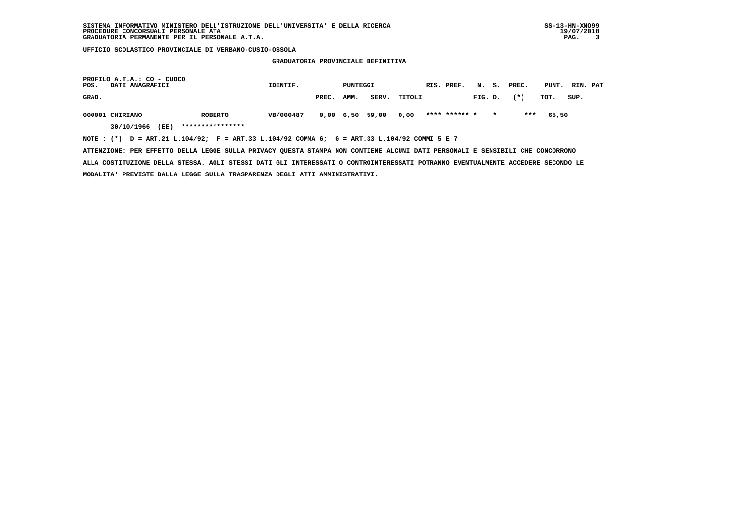**GRADUATORIA PROVINCIALE DEFINITIVA**

| POS.  | PROFILO A.T.A.: CO - CUOCO<br>DATI ANAGRAFICI |                                                                                             | IDENTIF.  |       | PUNTEGGI |                 |              | RIS. PREF.    |         |         | N. S. PREC. | PUNT. RIN. PAT |      |  |
|-------|-----------------------------------------------|---------------------------------------------------------------------------------------------|-----------|-------|----------|-----------------|--------------|---------------|---------|---------|-------------|----------------|------|--|
| GRAD. |                                               |                                                                                             |           | PREC. | AMM.     |                 | SERV. TITOLI |               | FIG. D. |         | $(* )$      | тот.           | SUP. |  |
|       | 000001 CHIRIANO                               | <b>ROBERTO</b>                                                                              | VB/000487 |       |          | 0,00 6,50 59,00 | 0.00         | **** ****** * |         | $\star$ | ***         | 65,50          |      |  |
|       | (EE)<br>30/10/1966                            | ****************                                                                            |           |       |          |                 |              |               |         |         |             |                |      |  |
|       |                                               | NOTE: (*) D = ART.21 L.104/92; F = ART.33 L.104/92 COMMA 6; G = ART.33 L.104/92 COMMI 5 E 7 |           |       |          |                 |              |               |         |         |             |                |      |  |

 **ATTENZIONE: PER EFFETTO DELLA LEGGE SULLA PRIVACY QUESTA STAMPA NON CONTIENE ALCUNI DATI PERSONALI E SENSIBILI CHE CONCORRONO ALLA COSTITUZIONE DELLA STESSA. AGLI STESSI DATI GLI INTERESSATI O CONTROINTERESSATI POTRANNO EVENTUALMENTE ACCEDERE SECONDO LE MODALITA' PREVISTE DALLA LEGGE SULLA TRASPARENZA DEGLI ATTI AMMINISTRATIVI.**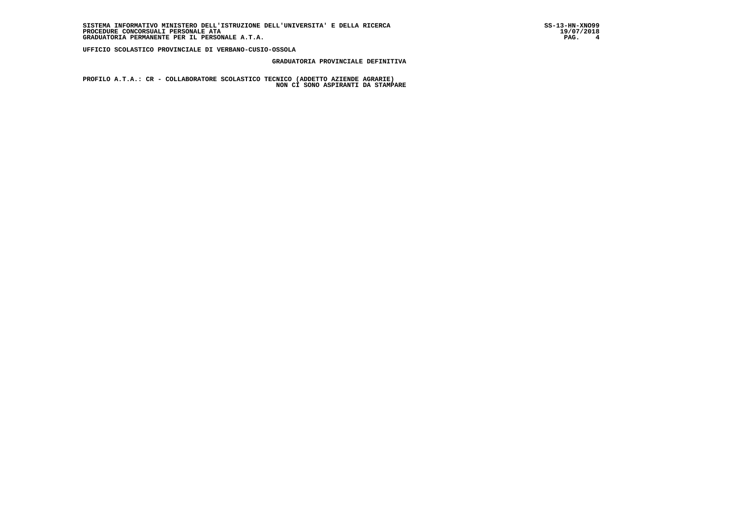## **GRADUATORIA PROVINCIALE DEFINITIVA**

 **PROFILO A.T.A.: CR - COLLABORATORE SCOLASTICO TECNICO (ADDETTO AZIENDE AGRARIE) NON CI SONO ASPIRANTI DA STAMPARE**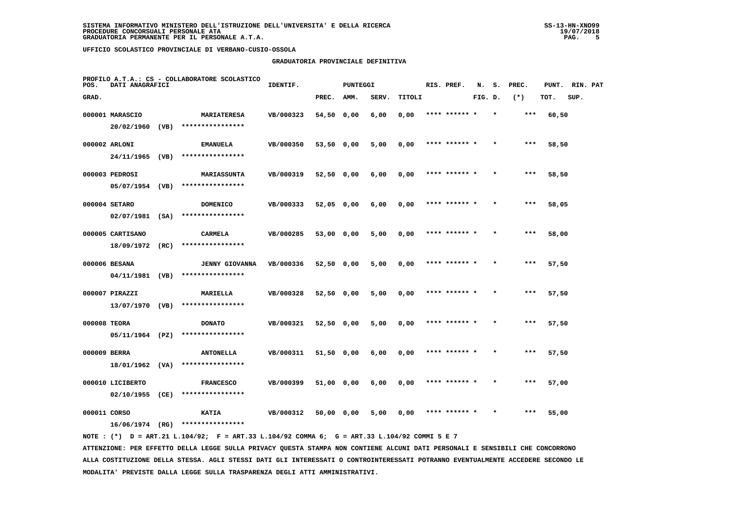## **GRADUATORIA PROVINCIALE DEFINITIVA**

| POS.         | DATI ANAGRAFICI                      |      | PROFILO A.T.A.: CS - COLLABORATORE SCOLASTICO | IDENTIF.  |              | PUNTEGGI |       |        | RIS. PREF.    | N.      | s.      | PREC. | PUNT. | RIN. PAT |  |
|--------------|--------------------------------------|------|-----------------------------------------------|-----------|--------------|----------|-------|--------|---------------|---------|---------|-------|-------|----------|--|
| GRAD.        |                                      |      |                                               |           | PREC.        | AMM.     | SERV. | TITOLI |               | FIG. D. |         | $(*)$ | TOT.  | SUP.     |  |
|              | 000001 MARASCIO<br>$20/02/1960$ (VB) |      | <b>MARIATERESA</b><br>****************        | VB/000323 | 54,50 0,00   |          | 6,00  | 0,00   | **** ******   |         |         | ***   | 60,50 |          |  |
|              | 000002 ARLONI<br>24/11/1965 (VB)     |      | <b>EMANUELA</b><br>****************           | VB/000350 | 53,50 0,00   |          | 5,00  | 0,00   | **** ****** * |         |         | ***   | 58,50 |          |  |
|              | 000003 PEDROSI<br>05/07/1954 (VB)    |      | <b>MARIASSUNTA</b><br>****************        | VB/000319 | 52,50 0,00   |          | 6,00  | 0,00   | **** ****** * |         | $\star$ | $***$ | 58,50 |          |  |
|              | 000004 SETARO<br>$02/07/1981$ (SA)   |      | <b>DOMENICO</b><br>****************           | VB/000333 | $52,05$ 0,00 |          | 6,00  | 0,00   | **** ****** * |         |         | $***$ | 58,05 |          |  |
|              | 000005 CARTISANO<br>18/09/1972       | (RC) | <b>CARMELA</b><br>****************            | VB/000285 | 53,00 0,00   |          | 5,00  | 0,00   | **** ****** * |         |         | $***$ | 58,00 |          |  |
|              | 000006 BESANA<br>04/11/1981 (VB)     |      | <b>JENNY GIOVANNA</b><br>****************     | VB/000336 | 52,50 0,00   |          | 5,00  | 0,00   | **** ****** * |         | $\star$ | ***   | 57,50 |          |  |
|              | 000007 PIRAZZI<br>13/07/1970 (VB)    |      | MARIELLA<br>****************                  | VB/000328 | 52,50 0,00   |          | 5,00  | 0,00   | **** ******   |         |         | ***   | 57,50 |          |  |
| 000008 TEORA | 05/11/1964 (PZ)                      |      | <b>DONATO</b><br>****************             | VB/000321 | 52,50 0,00   |          | 5,00  | 0,00   | **** ****** * |         |         | $***$ | 57,50 |          |  |
| 000009 BERRA | 18/01/1962                           | (VA) | <b>ANTONELLA</b><br>****************          | VB/000311 | 51,50 0,00   |          | 6,00  | 0,00   | **** ****** * |         | $\star$ | $***$ | 57,50 |          |  |
|              | 000010 LICIBERTO<br>02/10/1955       | (CE) | <b>FRANCESCO</b><br>****************          | VB/000399 | 51,00 0,00   |          | 6,00  | 0,00   | **** ****** * |         |         | ***   | 57,00 |          |  |
| 000011 CORSO | 16/06/1974 (RG)                      |      | <b>KATIA</b><br>****************              | VB/000312 | 50,00 0,00   |          | 5,00  | 0,00   | **** ****** * |         |         | ***   | 55,00 |          |  |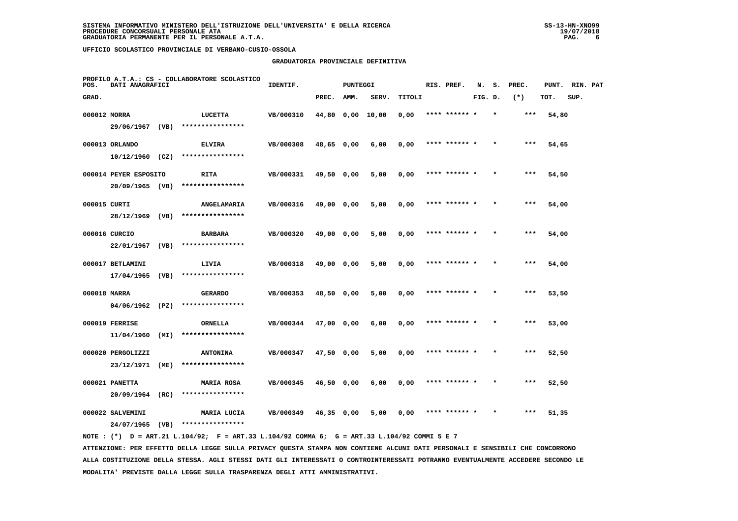## **GRADUATORIA PROVINCIALE DEFINITIVA**

| POS.         | DATI ANAGRAFICI       |      | PROFILO A.T.A.: CS - COLLABORATORE SCOLASTICO | IDENTIF.  |                  | <b>PUNTEGGI</b> |       |        | RIS. PREF.    | N.      | s.      | PREC. | PUNT. | RIN. PAT |  |
|--------------|-----------------------|------|-----------------------------------------------|-----------|------------------|-----------------|-------|--------|---------------|---------|---------|-------|-------|----------|--|
| GRAD.        |                       |      |                                               |           | PREC.            | AMM.            | SERV. | TITOLI |               | FIG. D. |         | $(*)$ | TOT.  | SUP.     |  |
| 000012 MORRA |                       |      | LUCETTA                                       | VB/000310 | 44,80 0,00 10,00 |                 |       | 0,00   | **** ****** * |         | $\star$ | ***   | 54,80 |          |  |
|              | 29/06/1967 (VB)       |      | ****************                              |           |                  |                 |       |        |               |         |         |       |       |          |  |
|              | 000013 ORLANDO        |      | <b>ELVIRA</b>                                 | VB/000308 | 48,65 0,00       |                 | 6,00  | 0,00   | **** ****** * |         |         | ***   | 54,65 |          |  |
|              | $10/12/1960$ (CZ)     |      | ****************                              |           |                  |                 |       |        |               |         |         |       |       |          |  |
|              | 000014 PEYER ESPOSITO |      | RITA                                          | VB/000331 | 49,50 0,00       |                 | 5,00  | 0,00   | **** ****** * |         |         | $***$ | 54,50 |          |  |
|              | 20/09/1965 (VB)       |      | ****************                              |           |                  |                 |       |        |               |         |         |       |       |          |  |
| 000015 CURTI |                       |      | ANGELAMARIA                                   | VB/000316 | 49,00 0,00       |                 | 5,00  | 0,00   | **** ****** * |         |         | ***   | 54,00 |          |  |
|              | 28/12/1969            | (VB) | ****************                              |           |                  |                 |       |        |               |         |         |       |       |          |  |
|              | 000016 CURCIO         |      | <b>BARBARA</b>                                | VB/000320 | 49,00 0,00       |                 | 5,00  | 0,00   | **** ****** * |         |         | $***$ | 54,00 |          |  |
|              | 22/01/1967            | (VB) | ****************                              |           |                  |                 |       |        |               |         |         |       |       |          |  |
|              | 000017 BETLAMINI      |      | LIVIA                                         | VB/000318 | 49,00 0,00       |                 | 5,00  | 0,00   | **** ****** * |         |         | $***$ | 54,00 |          |  |
|              | $17/04/1965$ (VB)     |      | ****************                              |           |                  |                 |       |        |               |         |         |       |       |          |  |
| 000018 MARRA |                       |      | <b>GERARDO</b>                                | VB/000353 | 48,50 0,00       |                 | 5,00  | 0,00   | **** ****** * |         |         | ***   | 53,50 |          |  |
|              | 04/06/1962 (PZ)       |      | ****************                              |           |                  |                 |       |        |               |         |         |       |       |          |  |
|              | 000019 FERRISE        |      | ORNELLA                                       | VB/000344 | 47,00 0,00       |                 | 6,00  | 0,00   | **** ****** * |         |         | ***   | 53,00 |          |  |
|              | 11/04/1960            | (MI) | ****************                              |           |                  |                 |       |        |               |         |         |       |       |          |  |
|              | 000020 PERGOLIZZI     |      | <b>ANTONINA</b>                               | VB/000347 | 47,50 0,00       |                 | 5,00  | 0,00   | **** ****** * |         |         | $***$ | 52,50 |          |  |
|              | 23/12/1971            | (ME) | ****************                              |           |                  |                 |       |        |               |         |         |       |       |          |  |
|              | 000021 PANETTA        |      | <b>MARIA ROSA</b>                             | VB/000345 | 46,50 0,00       |                 | 6,00  | 0,00   | **** ****** * |         |         | ***   | 52,50 |          |  |
|              | 20/09/1964            | (RC) | ****************                              |           |                  |                 |       |        |               |         |         |       |       |          |  |
|              | 000022 SALVEMINI      |      | MARIA LUCIA<br>****************               | VB/000349 | $46,35$ 0,00     |                 | 5,00  | 0,00   | **** ****** * |         |         | ***   | 51,35 |          |  |
|              | 24/07/1965            | (VB) |                                               |           |                  |                 |       |        |               |         |         |       |       |          |  |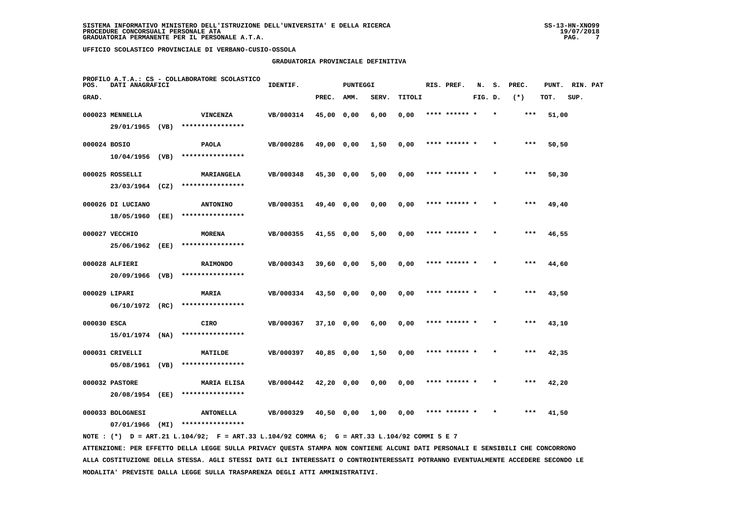## **GRADUATORIA PROVINCIALE DEFINITIVA**

| POS.         | DATI ANAGRAFICI                    |      | PROFILO A.T.A.: CS - COLLABORATORE SCOLASTICO | IDENTIF.  |              | <b>PUNTEGGI</b> |       |        | RIS. PREF.    | N.      | s.      | PREC. | PUNT. | RIN. PAT |  |
|--------------|------------------------------------|------|-----------------------------------------------|-----------|--------------|-----------------|-------|--------|---------------|---------|---------|-------|-------|----------|--|
| GRAD.        |                                    |      |                                               |           | PREC.        | AMM.            | SERV. | TITOLI |               | FIG. D. |         | $(*)$ | TOT.  | SUP.     |  |
|              | 000023 MENNELLA                    |      | <b>VINCENZA</b>                               | VB/000314 | 45,00 0,00   |                 | 6,00  | 0,00   | **** ****** * |         | $\star$ | ***   | 51,00 |          |  |
|              | 29/01/1965 (VB)                    |      | ****************                              |           |              |                 |       |        |               |         |         |       |       |          |  |
| 000024 BOSIO |                                    |      | <b>PAOLA</b>                                  | VB/000286 | 49,00 0,00   |                 | 1,50  | 0,00   | **** ****** * |         |         | ***   | 50,50 |          |  |
|              | $10/04/1956$ (VB)                  |      | ****************                              |           |              |                 |       |        |               |         |         |       |       |          |  |
|              | 000025 ROSSELLI                    |      | MARIANGELA                                    | VB/000348 | 45,30 0,00   |                 | 5,00  | 0,00   | **** ****** * |         |         | ***   | 50,30 |          |  |
|              | 23/03/1964 (CZ)                    |      | ****************                              |           |              |                 |       |        |               |         |         |       |       |          |  |
|              | 000026 DI LUCIANO                  |      | <b>ANTONINO</b>                               | VB/000351 | 49,40 0,00   |                 | 0,00  | 0,00   | **** ****** * |         |         | ***   | 49,40 |          |  |
|              | 18/05/1960                         | (EE) | ****************                              |           |              |                 |       |        |               |         |         |       |       |          |  |
|              | 000027 VECCHIO                     |      | <b>MORENA</b>                                 | VB/000355 | 41,55 0,00   |                 | 5,00  | 0,00   | **** ****** * |         |         | $***$ | 46,55 |          |  |
|              | 25/06/1962                         | (EE) | ****************                              |           |              |                 |       |        |               |         |         |       |       |          |  |
|              | 000028 ALFIERI                     |      | <b>RAIMONDO</b><br>****************           | VB/000343 | $39,60$ 0,00 |                 | 5,00  | 0,00   | **** ****** * |         |         | $***$ | 44,60 |          |  |
|              | 20/09/1966 (VB)                    |      |                                               |           |              |                 |       |        |               |         |         |       |       |          |  |
|              | 000029 LIPARI<br>$06/10/1972$ (RC) |      | MARIA<br>****************                     | VB/000334 | 43,50 0,00   |                 | 0,00  | 0,00   | **** ****** * |         |         | ***   | 43,50 |          |  |
|              |                                    |      |                                               |           |              |                 |       |        |               |         |         |       |       |          |  |
| 000030 ESCA  | 15/01/1974 (NA)                    |      | CIRO<br>****************                      | VB/000367 | 37,10 0,00   |                 | 6,00  | 0,00   |               |         |         | ***   | 43,10 |          |  |
|              | 000031 CRIVELLI                    |      |                                               |           |              |                 |       |        | **** ****** * |         |         | ***   |       |          |  |
|              | 05/08/1961                         | (VB) | <b>MATILDE</b><br>****************            | VB/000397 | 40,85 0,00   |                 | 1,50  | 0,00   |               |         |         |       | 42,35 |          |  |
|              | 000032 PASTORE                     |      | <b>MARIA ELISA</b>                            | VB/000442 | $42,20$ 0,00 |                 | 0,00  | 0,00   | **** ****** * |         |         | ***   | 42,20 |          |  |
|              | 20/08/1954                         | (EE) | ****************                              |           |              |                 |       |        |               |         |         |       |       |          |  |
|              | 000033 BOLOGNESI                   |      | <b>ANTONELLA</b>                              | VB/000329 | 40,50 0,00   |                 | 1,00  | 0,00   | **** ****** * |         |         | ***   | 41,50 |          |  |
|              | 07/01/1966                         | (MI) | ****************                              |           |              |                 |       |        |               |         |         |       |       |          |  |
|              |                                    |      |                                               |           |              |                 |       |        |               |         |         |       |       |          |  |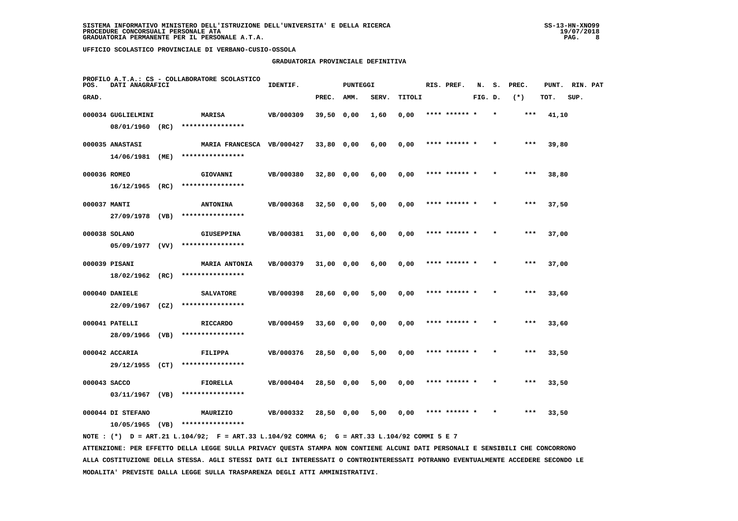## **GRADUATORIA PROVINCIALE DEFINITIVA**

| POS.         | DATI ANAGRAFICI    |      | PROFILO A.T.A.: CS - COLLABORATORE SCOLASTICO | IDENTIF.  |              | <b>PUNTEGGI</b> |       |        | RIS. PREF.    | N.      | s. | PREC. | PUNT. | RIN. PAT |  |
|--------------|--------------------|------|-----------------------------------------------|-----------|--------------|-----------------|-------|--------|---------------|---------|----|-------|-------|----------|--|
| GRAD.        |                    |      |                                               |           | PREC.        | AMM.            | SERV. | TITOLI |               | FIG. D. |    | $(*)$ | TOT.  | SUP.     |  |
|              | 000034 GUGLIELMINI |      | <b>MARISA</b>                                 | VB/000309 | 39,50 0,00   |                 | 1,60  | 0,00   | **** ****** * |         |    | ***   | 41,10 |          |  |
|              | 08/01/1960 (RC)    |      | ****************                              |           |              |                 |       |        |               |         |    |       |       |          |  |
|              | 000035 ANASTASI    |      | MARIA FRANCESCA VB/000427                     |           | $33,80$ 0,00 |                 | 6,00  | 0,00   | **** ****** * |         |    | ***   | 39,80 |          |  |
|              | 14/06/1981 (ME)    |      | ****************                              |           |              |                 |       |        |               |         |    |       |       |          |  |
| 000036 ROMEO |                    |      | GIOVANNI                                      | VB/000380 | $32,80$ 0,00 |                 | 6,00  | 0,00   | **** ****** * |         |    | $***$ | 38,80 |          |  |
|              | $16/12/1965$ (RC)  |      | ****************                              |           |              |                 |       |        |               |         |    |       |       |          |  |
| 000037 MANTI |                    |      | <b>ANTONINA</b>                               | VB/000368 | $32,50$ 0,00 |                 | 5,00  | 0,00   | **** ****** * |         |    | ***   | 37,50 |          |  |
|              | 27/09/1978 (VB)    |      | ****************                              |           |              |                 |       |        |               |         |    |       |       |          |  |
|              | 000038 SOLANO      |      | <b>GIUSEPPINA</b>                             | VB/000381 | 31,00 0,00   |                 | 6,00  | 0,00   | **** ****** * |         |    | $***$ | 37,00 |          |  |
|              | $05/09/1977$ (VV)  |      | ****************                              |           |              |                 |       |        |               |         |    |       |       |          |  |
|              | 000039 PISANI      |      | <b>MARIA ANTONIA</b>                          | VB/000379 | 31,00 0,00   |                 | 6,00  | 0,00   | **** ****** * |         |    | $***$ | 37,00 |          |  |
|              | 18/02/1962 (RC)    |      | ****************                              |           |              |                 |       |        |               |         |    |       |       |          |  |
|              | 000040 DANIELE     |      | <b>SALVATORE</b>                              | VB/000398 | 28,60 0,00   |                 | 5,00  | 0,00   | **** ****** * |         |    | $***$ | 33,60 |          |  |
|              | $22/09/1967$ (CZ)  |      | ****************                              |           |              |                 |       |        |               |         |    |       |       |          |  |
|              | 000041 PATELLI     |      | <b>RICCARDO</b>                               | VB/000459 | 33,60 0,00   |                 | 0,00  | 0,00   | **** ******   |         |    | $***$ | 33,60 |          |  |
|              | 28/09/1966 (VB)    |      | ****************                              |           |              |                 |       |        |               |         |    |       |       |          |  |
|              | 000042 ACCARIA     |      | FILIPPA                                       | VB/000376 | 28,50 0,00   |                 | 5,00  | 0,00   | **** ****** * |         |    | ***   | 33,50 |          |  |
|              | 29/12/1955 (CT)    |      | ****************                              |           |              |                 |       |        |               |         |    |       |       |          |  |
| 000043 SACCO |                    |      | FIORELLA                                      | VB/000404 | $28,50$ 0,00 |                 | 5,00  | 0,00   | **** ****** * |         |    | $***$ | 33,50 |          |  |
|              | 03/11/1967 (VB)    |      | ****************                              |           |              |                 |       |        |               |         |    |       |       |          |  |
|              | 000044 DI STEFANO  |      | MAURIZIO                                      | VB/000332 | 28,50 0,00   |                 | 5,00  | 0,00   | **** ****** * |         |    | ***   | 33,50 |          |  |
|              | 10/05/1965         | (VB) | ****************                              |           |              |                 |       |        |               |         |    |       |       |          |  |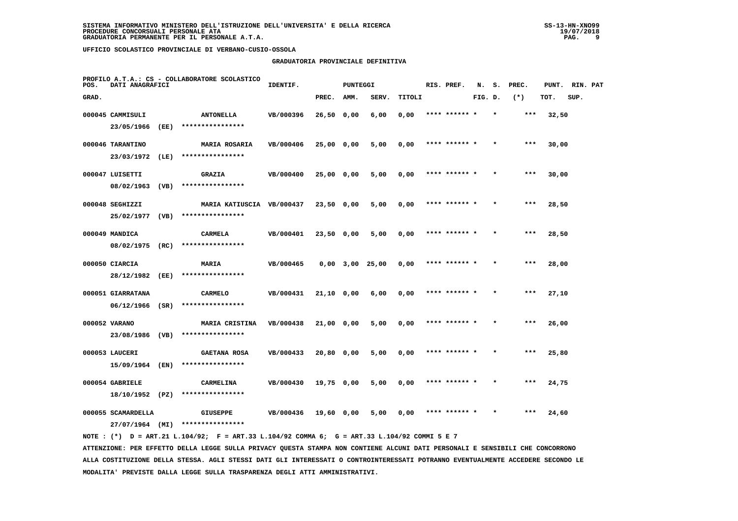#### **GRADUATORIA PROVINCIALE DEFINITIVA**

| POS.  | DATI ANAGRAFICI    |      | PROFILO A.T.A.: CS - COLLABORATORE SCOLASTICO | IDENTIF.  |              | <b>PUNTEGGI</b>       |       |        | RIS. PREF.    | N.      | s.      | PREC. | PUNT. | RIN. PAT |  |
|-------|--------------------|------|-----------------------------------------------|-----------|--------------|-----------------------|-------|--------|---------------|---------|---------|-------|-------|----------|--|
| GRAD. |                    |      |                                               |           | PREC.        | AMM.                  | SERV. | TITOLI |               | FIG. D. |         | $(*)$ | TOT.  | SUP.     |  |
|       | 000045 CAMMISULI   |      | <b>ANTONELLA</b>                              | VB/000396 | 26,50 0,00   |                       | 6,00  | 0,00   | **** ****** * |         | $\star$ | $***$ | 32,50 |          |  |
|       | 23/05/1966         | (EE) | ****************                              |           |              |                       |       |        |               |         |         |       |       |          |  |
|       | 000046 TARANTINO   |      | <b>MARIA ROSARIA</b>                          | VB/000406 | 25,00 0,00   |                       | 5,00  | 0,00   | **** ******   |         |         | ***   | 30,00 |          |  |
|       | 23/03/1972         | (LE) | ****************                              |           |              |                       |       |        |               |         |         |       |       |          |  |
|       | 000047 LUISETTI    |      | <b>GRAZIA</b>                                 | VB/000400 | 25,00 0,00   |                       | 5,00  | 0,00   | **** ****** * |         |         | $***$ | 30,00 |          |  |
|       | 08/02/1963         | (VB) | ****************                              |           |              |                       |       |        |               |         |         |       |       |          |  |
|       | 000048 SEGHIZZI    |      | MARIA KATIUSCIA VB/000437                     |           | $23,50$ 0,00 |                       | 5,00  | 0,00   | **** ****** * |         | $\star$ | ***   | 28,50 |          |  |
|       | 25/02/1977         | (VB) | ****************                              |           |              |                       |       |        |               |         |         |       |       |          |  |
|       | 000049 MANDICA     |      | <b>CARMELA</b>                                | VB/000401 | 23,50 0,00   |                       | 5,00  | 0,00   | **** ****** * |         |         | ***   | 28,50 |          |  |
|       | 08/02/1975 (RC)    |      | ****************                              |           |              |                       |       |        |               |         |         |       |       |          |  |
|       | 000050 CIARCIA     |      | <b>MARIA</b>                                  | VB/000465 |              | $0,00$ $3,00$ $25,00$ |       | 0,00   | **** ****** * |         |         | $***$ | 28,00 |          |  |
|       | 28/12/1982         | (EE) | ****************                              |           |              |                       |       |        |               |         |         |       |       |          |  |
|       | 000051 GIARRATANA  |      | <b>CARMELO</b>                                | VB/000431 | 21,10 0,00   |                       | 6,00  | 0,00   | **** ****** * |         |         | ***   | 27,10 |          |  |
|       | 06/12/1966         | (SR) | ****************                              |           |              |                       |       |        |               |         |         |       |       |          |  |
|       | 000052 VARANO      |      | <b>MARIA CRISTINA</b>                         | VB/000438 | 21,00 0,00   |                       | 5,00  | 0,00   | **** ****** * |         |         | ***   | 26,00 |          |  |
|       | 23/08/1986 (VB)    |      | ****************                              |           |              |                       |       |        |               |         |         |       |       |          |  |
|       | 000053 LAUCERI     |      | <b>GAETANA ROSA</b>                           | VB/000433 | 20,80 0,00   |                       | 5,00  | 0,00   | **** ****** * |         |         | ***   | 25,80 |          |  |
|       | 15/09/1964 (EN)    |      | ****************                              |           |              |                       |       |        |               |         |         |       |       |          |  |
|       | 000054 GABRIELE    |      | CARMELINA<br>****************                 | VB/000430 | 19,75 0,00   |                       | 5,00  | 0,00   | **** ****** * |         |         | $***$ | 24,75 |          |  |
|       | 18/10/1952 (PZ)    |      |                                               |           |              |                       |       |        |               |         |         |       |       |          |  |
|       | 000055 SCAMARDELLA |      | <b>GIUSEPPE</b><br>****************           | VB/000436 | 19,60 0,00   |                       | 5,00  | 0,00   | **** ****** * |         |         | ***   | 24,60 |          |  |
|       | 27/07/1964 (MI)    |      |                                               |           |              |                       |       |        |               |         |         |       |       |          |  |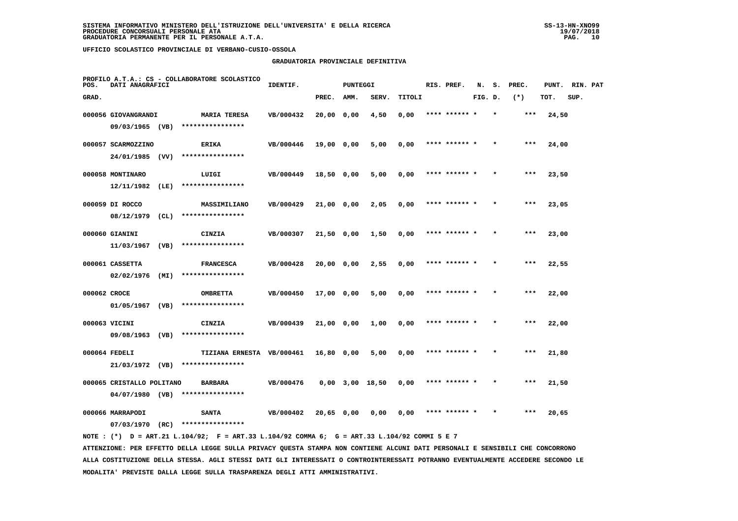#### **GRADUATORIA PROVINCIALE DEFINITIVA**

| POS.         | DATI ANAGRAFICI                              |      | PROFILO A.T.A.: CS - COLLABORATORE SCOLASTICO | IDENTIF.  |            | <b>PUNTEGGI</b> |                       |        | RIS. PREF.    | N.      | s.      | PREC. | PUNT. | RIN. PAT |  |
|--------------|----------------------------------------------|------|-----------------------------------------------|-----------|------------|-----------------|-----------------------|--------|---------------|---------|---------|-------|-------|----------|--|
| GRAD.        |                                              |      |                                               |           | PREC.      | AMM.            | SERV.                 | TITOLI |               | FIG. D. |         | $(*)$ | TOT.  | SUP.     |  |
|              | 000056 GIOVANGRANDI                          |      | <b>MARIA TERESA</b>                           | VB/000432 | 20,00 0,00 |                 | 4,50                  | 0,00   | **** ****** * |         | $\star$ | ***   | 24,50 |          |  |
|              | 09/03/1965 (VB)                              |      | ****************                              |           |            |                 |                       |        |               |         |         |       |       |          |  |
|              | 000057 SCARMOZZINO                           |      | <b>ERIKA</b>                                  | VB/000446 | 19,00 0,00 |                 | 5,00                  | 0,00   | **** ****** * |         |         | ***   | 24,00 |          |  |
|              | 24/01/1985 (VV)                              |      | ****************                              |           |            |                 |                       |        |               |         |         |       |       |          |  |
|              | 000058 MONTINARO                             |      | LUIGI                                         | VB/000449 | 18,50 0,00 |                 | 5,00                  | 0,00   | **** ****** * |         |         | $***$ | 23,50 |          |  |
|              | $12/11/1982$ (LE)                            |      | ****************                              |           |            |                 |                       |        |               |         |         |       |       |          |  |
|              | 000059 DI ROCCO                              |      | MASSIMILIANO                                  | VB/000429 | 21,00 0,00 |                 | 2,05                  | 0,00   | **** ****** * |         |         | ***   | 23,05 |          |  |
|              | 08/12/1979                                   | (CL) | ****************                              |           |            |                 |                       |        |               |         |         |       |       |          |  |
|              | 000060 GIANINI                               |      | CINZIA                                        | VB/000307 | 21,50 0,00 |                 | 1,50                  | 0,00   | **** ****** * |         |         | $***$ | 23,00 |          |  |
|              | 11/03/1967                                   | (VB) | ****************                              |           |            |                 |                       |        |               |         |         |       |       |          |  |
|              | 000061 CASSETTA                              |      | <b>FRANCESCA</b>                              | VB/000428 | 20,00 0,00 |                 | 2,55                  | 0,00   | **** ****** * |         |         | ***   | 22,55 |          |  |
|              | 02/02/1976 (MI)                              |      | ****************                              |           |            |                 |                       |        |               |         |         |       |       |          |  |
| 000062 CROCE | 01/05/1967 (VB)                              |      | <b>OMBRETTA</b><br>****************           | VB/000450 | 17,00 0,00 |                 | 5,00                  | 0,00   | **** ****** * |         |         | ***   | 22,00 |          |  |
|              |                                              |      |                                               |           |            |                 |                       |        |               |         |         |       |       |          |  |
|              | 000063 VICINI<br>09/08/1963 (VB)             |      | CINZIA<br>****************                    | VB/000439 | 21,00 0,00 |                 | 1,00                  | 0,00   | **** ******   |         |         | ***   | 22,00 |          |  |
|              |                                              |      |                                               |           |            |                 |                       |        |               |         |         |       |       |          |  |
|              | 000064 FEDELI<br>21/03/1972 (VB)             |      | TIZIANA ERNESTA VB/000461<br>**************** |           | 16,80 0,00 |                 | 5,00                  | 0,00   | **** ****** * |         |         | ***   | 21,80 |          |  |
|              |                                              |      |                                               |           |            |                 |                       |        |               |         |         |       |       |          |  |
|              | 000065 CRISTALLO POLITANO<br>04/07/1980 (VB) |      | <b>BARBARA</b><br>****************            | VB/000476 |            |                 | $0,00$ $3,00$ $18,50$ | 0,00   | **** ****** * |         |         | $***$ | 21,50 |          |  |
|              | 000066 MARRAPODI                             |      | <b>SANTA</b>                                  | VB/000402 |            |                 |                       |        | **** ****** * |         |         | ***   |       |          |  |
|              | 07/03/1970                                   | (RC) | ****************                              |           | 20,65 0,00 |                 | 0,00                  | 0,00   |               |         |         |       | 20,65 |          |  |
|              |                                              |      |                                               |           |            |                 |                       |        |               |         |         |       |       |          |  |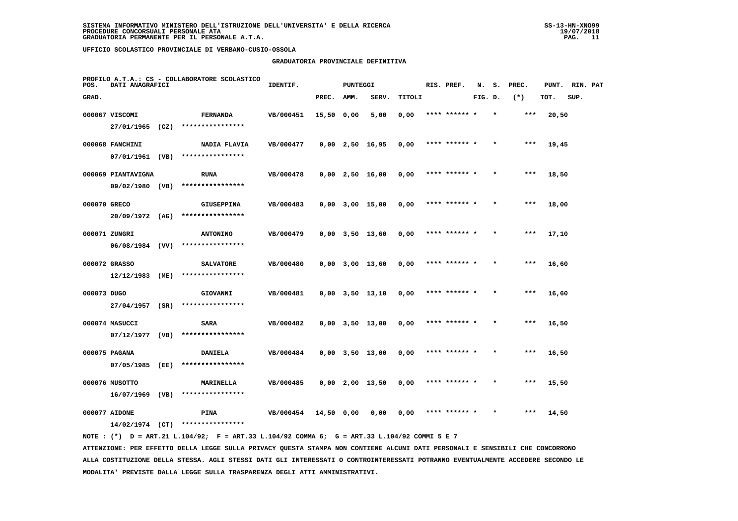#### **GRADUATORIA PROVINCIALE DEFINITIVA**

| POS.         | DATI ANAGRAFICI    |      | PROFILO A.T.A.: CS - COLLABORATORE SCOLASTICO | IDENTIF.  |            | PUNTEGGI |                       |        | RIS. PREF.    | N.      |         | S. PREC. | PUNT. | RIN. PAT |  |
|--------------|--------------------|------|-----------------------------------------------|-----------|------------|----------|-----------------------|--------|---------------|---------|---------|----------|-------|----------|--|
| GRAD.        |                    |      |                                               |           | PREC.      | AMM.     | SERV.                 | TITOLI |               | FIG. D. |         | $(*)$    | TOT.  | SUP.     |  |
|              | 000067 VISCOMI     |      | <b>FERNANDA</b>                               | VB/000451 | 15,50 0,00 |          | 5,00                  | 0,00   |               |         |         | ***      | 20,50 |          |  |
|              | $27/01/1965$ (CZ)  |      | ****************                              |           |            |          |                       |        |               |         |         |          |       |          |  |
|              | 000068 FANCHINI    |      | NADIA FLAVIA                                  | VB/000477 |            |          | $0,00$ 2,50 16,95     | 0,00   | **** ****** * |         |         | $***$    | 19,45 |          |  |
|              | 07/01/1961 (VB)    |      | ****************                              |           |            |          |                       |        |               |         |         |          |       |          |  |
|              | 000069 PIANTAVIGNA |      | <b>RUNA</b>                                   | VB/000478 |            |          | $0,00$ 2,50 16,00     | 0,00   | **** ****** * |         | $\star$ | $***$    | 18,50 |          |  |
|              | 09/02/1980 (VB)    |      | ****************                              |           |            |          |                       |        |               |         |         |          |       |          |  |
| 000070 GRECO |                    |      | <b>GIUSEPPINA</b>                             | VB/000483 |            |          | $0,00$ $3,00$ $15,00$ | 0,00   | **** ****** * |         |         | $***$    | 18,00 |          |  |
|              | $20/09/1972$ (AG)  |      | ****************                              |           |            |          |                       |        |               |         |         |          |       |          |  |
|              | 000071 ZUNGRI      |      | <b>ANTONINO</b>                               | VB/000479 |            |          | $0,00$ $3,50$ $13,60$ | 0,00   | **** ****** * |         |         | $***$    | 17,10 |          |  |
|              | $06/08/1984$ (VV)  |      | ****************                              |           |            |          |                       |        |               |         |         |          |       |          |  |
|              | 000072 GRASSO      |      | <b>SALVATORE</b>                              | VB/000480 |            |          | $0,00$ 3,00 13,60     | 0,00   | **** ****** * |         |         | ***      | 16,60 |          |  |
|              | 12/12/1983         | (ME) | ****************                              |           |            |          |                       |        |               |         |         |          |       |          |  |
| 000073 DUGO  |                    |      | GIOVANNI                                      | VB/000481 |            |          | $0,00$ $3,50$ $13,10$ | 0,00   | **** ******   |         |         | $***$    | 16,60 |          |  |
|              | $27/04/1957$ (SR)  |      | ****************                              |           |            |          |                       |        |               |         |         |          |       |          |  |
|              | 000074 MASUCCI     |      | SARA                                          | VB/000482 |            |          | $0,00$ $3,50$ $13,00$ | 0,00   | **** ****** * |         |         | $***$    | 16,50 |          |  |
|              | $07/12/1977$ (VB)  |      | ****************                              |           |            |          |                       |        |               |         |         |          |       |          |  |
|              | 000075 PAGANA      |      | <b>DANIELA</b>                                | VB/000484 |            |          | $0,00$ $3,50$ $13,00$ | 0,00   | **** ****** * |         |         | $***$    | 16,50 |          |  |
|              | 07/05/1985         | (EE) | ****************                              |           |            |          |                       |        |               |         |         |          |       |          |  |
|              | 000076 MUSOTTO     |      | MARINELLA                                     | VB/000485 |            |          | $0,00$ 2,00 13,50     | 0,00   | **** ****** * |         |         | $***$    | 15,50 |          |  |
|              | $16/07/1969$ (VB)  |      | ****************                              |           |            |          |                       |        |               |         |         |          |       |          |  |
|              | 000077 AIDONE      |      | <b>PINA</b>                                   | VB/000454 | 14,50 0,00 |          | 0,00                  | 0,00   |               |         |         |          | 14,50 |          |  |
|              | $14/02/1974$ (CT)  |      | ****************                              |           |            |          |                       |        |               |         |         |          |       |          |  |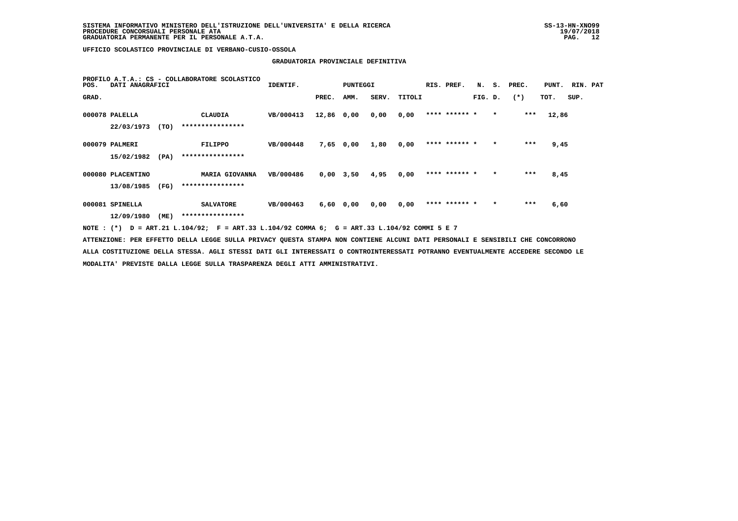# **GRADUATORIA PROVINCIALE DEFINITIVA**

| POS.  | DATI ANAGRAFICI   |      | PROFILO A.T.A.: CS - COLLABORATORE SCOLASTICO                                                                                   | IDENTIF.  |            | PUNTEGGI      |       |        | RIS. PREF.    | N.      |         | S. PREC. | PUNT. RIN. PAT |      |  |
|-------|-------------------|------|---------------------------------------------------------------------------------------------------------------------------------|-----------|------------|---------------|-------|--------|---------------|---------|---------|----------|----------------|------|--|
| GRAD. |                   |      |                                                                                                                                 |           | PREC.      | AMM.          | SERV. | TITOLI |               | FIG. D. |         | $(*)$    | TOT.           | SUP. |  |
|       | 000078 PALELLA    |      | CLAUDIA                                                                                                                         | VB/000413 | 12,86 0,00 |               | 0,00  | 0.00   | **** ****** * |         | $\star$ | ***      | 12,86          |      |  |
|       | 22/03/1973        | (TO) | ****************                                                                                                                |           |            |               |       |        |               |         |         |          |                |      |  |
|       | 000079 PALMERI    |      | FILIPPO                                                                                                                         | VB/000448 |            | 7,65 0,00     | 1,80  | 0,00   | **** ****** * |         | $\star$ | ***      | 9,45           |      |  |
|       | 15/02/1982        | (PA) | ****************                                                                                                                |           |            |               |       |        |               |         |         |          |                |      |  |
|       | 000080 PLACENTINO |      | MARIA GIOVANNA                                                                                                                  | VB/000486 |            | $0,00$ 3,50   | 4,95  | 0.00   | **** ****** * |         |         | $***$    | 8,45           |      |  |
|       | 13/08/1985        | (FG) | ****************                                                                                                                |           |            |               |       |        |               |         |         |          |                |      |  |
|       | 000081 SPINELLA   |      | <b>SALVATORE</b>                                                                                                                | VB/000463 |            | $6,60$ $0,00$ | 0.00  | 0.00   | **** ****** * |         | $\star$ | ***      | 6,60           |      |  |
|       | 12/09/1980        | (ME) | ****************                                                                                                                |           |            |               |       |        |               |         |         |          |                |      |  |
|       |                   |      | NOTE: (*) D = ART.21 L.104/92; F = ART.33 L.104/92 COMMA 6; G = ART.33 L.104/92 COMMI 5 E 7                                     |           |            |               |       |        |               |         |         |          |                |      |  |
|       |                   |      | ATTENZIONE: PER EFFETTO DELLA LEGGE SULLA PRIVACY QUESTA STAMPA NON CONTIENE ALCUNI DATI PERSONALI E SENSIBILI CHE CONCORRONO   |           |            |               |       |        |               |         |         |          |                |      |  |
|       |                   |      | ALLA COSTITUZIONE DELLA STESSA. AGLI STESSI DATI GLI INTERESSATI O CONTROINTERESSATI POTRANNO EVENTUALMENTE ACCEDERE SECONDO LE |           |            |               |       |        |               |         |         |          |                |      |  |
|       |                   |      | MODALITA' PREVISTE DALLA LEGGE SULLA TRASPARENZA DEGLI ATTI AMMINISTRATIVI.                                                     |           |            |               |       |        |               |         |         |          |                |      |  |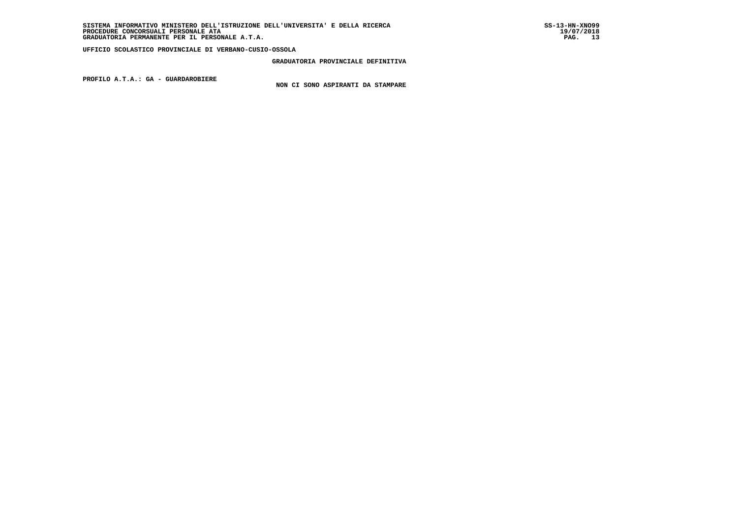**GRADUATORIA PROVINCIALE DEFINITIVA**

 **PROFILO A.T.A.: GA - GUARDAROBIERE**

 **NON CI SONO ASPIRANTI DA STAMPARE**